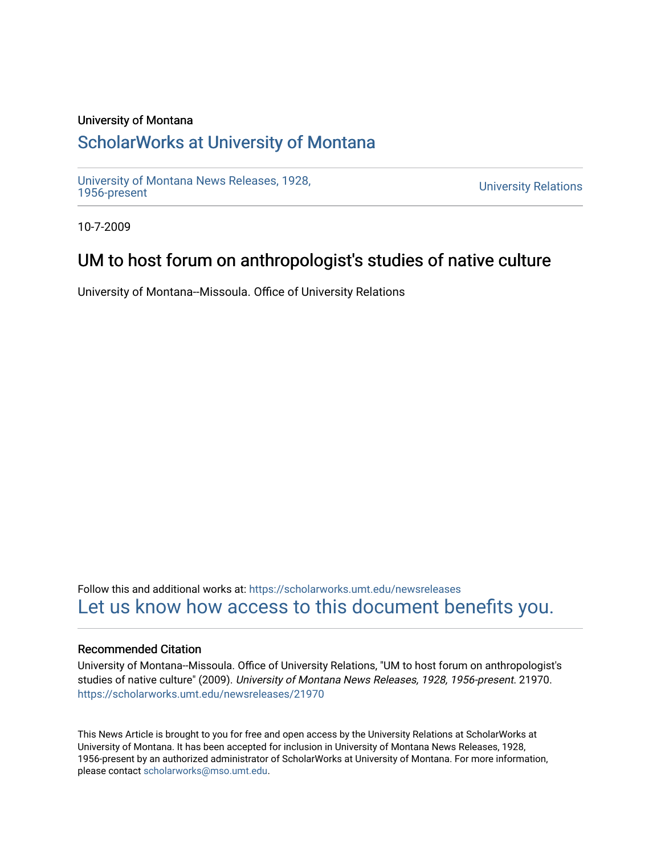#### University of Montana

# [ScholarWorks at University of Montana](https://scholarworks.umt.edu/)

[University of Montana News Releases, 1928,](https://scholarworks.umt.edu/newsreleases) 

**University Relations** 

10-7-2009

# UM to host forum on anthropologist's studies of native culture

University of Montana--Missoula. Office of University Relations

Follow this and additional works at: [https://scholarworks.umt.edu/newsreleases](https://scholarworks.umt.edu/newsreleases?utm_source=scholarworks.umt.edu%2Fnewsreleases%2F21970&utm_medium=PDF&utm_campaign=PDFCoverPages) [Let us know how access to this document benefits you.](https://goo.gl/forms/s2rGfXOLzz71qgsB2) 

#### Recommended Citation

University of Montana--Missoula. Office of University Relations, "UM to host forum on anthropologist's studies of native culture" (2009). University of Montana News Releases, 1928, 1956-present. 21970. [https://scholarworks.umt.edu/newsreleases/21970](https://scholarworks.umt.edu/newsreleases/21970?utm_source=scholarworks.umt.edu%2Fnewsreleases%2F21970&utm_medium=PDF&utm_campaign=PDFCoverPages) 

This News Article is brought to you for free and open access by the University Relations at ScholarWorks at University of Montana. It has been accepted for inclusion in University of Montana News Releases, 1928, 1956-present by an authorized administrator of ScholarWorks at University of Montana. For more information, please contact [scholarworks@mso.umt.edu.](mailto:scholarworks@mso.umt.edu)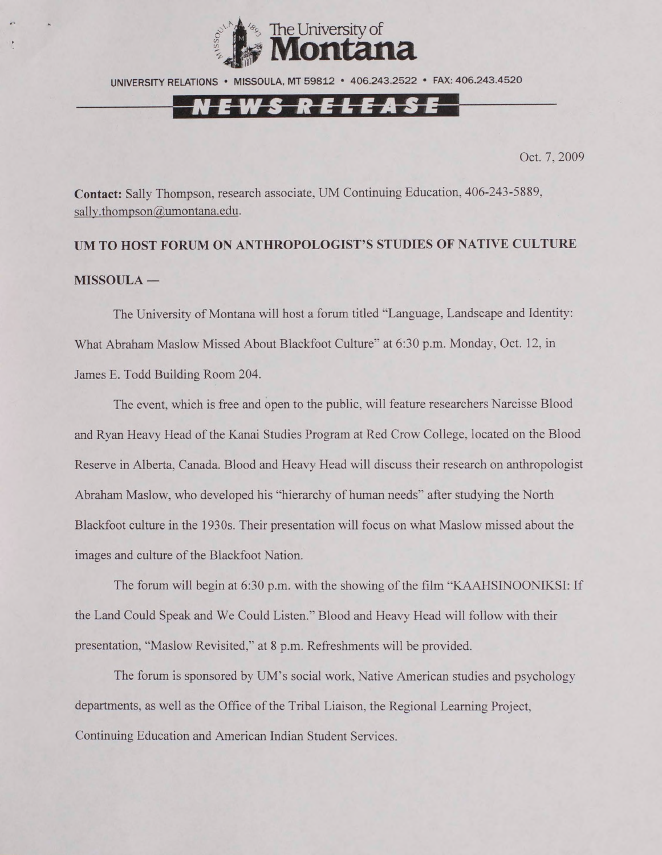

UNIVERSITY RELATIONS • MISSOULA. MT 59812 • 406.243.2522 • FAX: 406.243.4520

### <u>N E W S R E L E A S E </u>

Oct. 7, 2009

**Contact:** Sally Thompson, research associate, UM Continuing Education, 406-243-5889, sally.thompson@umontana.edu.

### **UM TO HOST FORUM ON ANTHROPOLOGIST'S STUDIES OF NATIVE CULTURE MISSOULA —**

The University of Montana will host a forum titled "Language. Landscape and Identity: What Abraham Maslow Missed About Blackfoot Culture" at 6:30 p.m. Monday, Oct. 12, in James E. Todd Building Room 204.

The event, which is free and open to the public, will feature researchers Narcisse Blood and Ryan Heavy Head of the Kanai Studies Program at Red Crow College, located on the Blood Reserve in Alberta, Canada. Blood and Heavy Head will discuss their research on anthropologist Abraham Maslow, who developed his "hierarchy of human needs" after studying the North Blackfoot culture in the 1930s. Their presentation will focus on what Maslow missed about the images and culture of the Blackfoot Nation.

The forum will begin at 6:30 p.m. with the showing of the film "KAAHSINOONIKSI: If the Land Could Speak and We Could Listen." Blood and Heavy Head will follow with their presentation, "Maslow Revisited," at 8 p.m. Refreshments will be provided.

The forum is sponsored by UM's social work. Native American studies and psychology departments, as well as the Office of the Tribal Liaison, the Regional Learning Project, Continuing Education and American Indian Student Services.